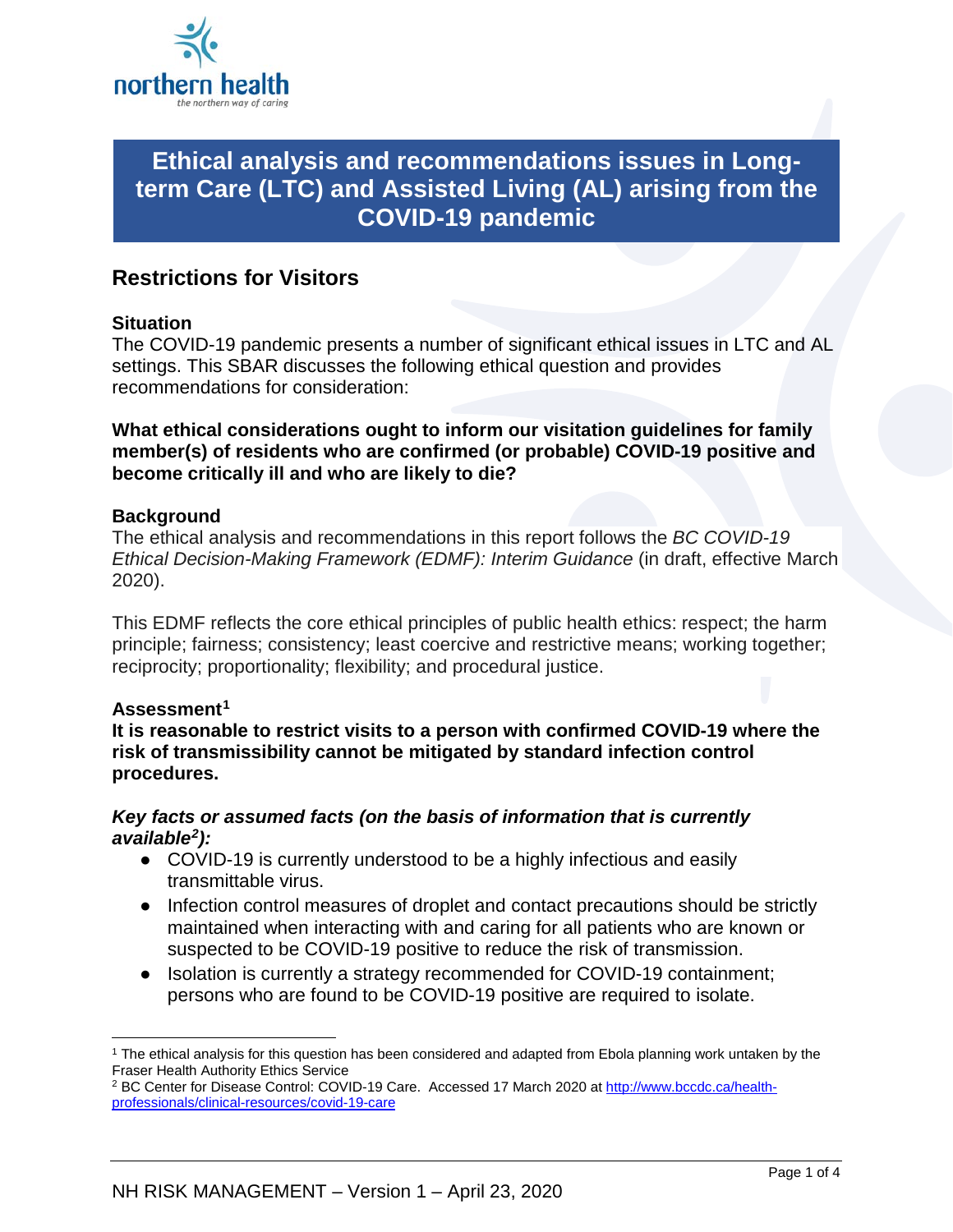

# **Ethical analysis and recommendations issues in Longterm Care (LTC) and Assisted Living (AL) arising from the COVID-19 pandemic**

## **Restrictions for Visitors**

#### **Situation**

The COVID-19 pandemic presents a number of significant ethical issues in LTC and AL settings. This SBAR discusses the following ethical question and provides recommendations for consideration:

**What ethical considerations ought to inform our visitation guidelines for family member(s) of residents who are confirmed (or probable) COVID-19 positive and become critically ill and who are likely to die?**

#### **Background**

The ethical analysis and recommendations in this report follows the *BC COVID-19 Ethical Decision-Making Framework (EDMF): Interim Guidance* (in draft, effective March 2020).

This EDMF reflects the core ethical principles of public health ethics: respect; the harm principle; fairness; consistency; least coercive and restrictive means; working together; reciprocity; proportionality; flexibility; and procedural justice.

#### **Assessment[1](#page-0-0)**

**It is reasonable to restrict visits to a person with confirmed COVID-19 where the risk of transmissibility cannot be mitigated by standard infection control procedures.** 

#### *Key facts or assumed facts (on the basis of information that is currently available[2\)](#page-0-1):*

- COVID-19 is currently understood to be a highly infectious and easily transmittable virus.
- Infection control measures of droplet and contact precautions should be strictly maintained when interacting with and caring for all patients who are known or suspected to be COVID-19 positive to reduce the risk of transmission.
- Isolation is currently a strategy recommended for COVID-19 containment; persons who are found to be COVID-19 positive are required to isolate.

<span id="page-0-0"></span> <sup>1</sup> The ethical analysis for this question has been considered and adapted from Ebola planning work untaken by the Fraser Health Authority Ethics Service

<span id="page-0-1"></span><sup>&</sup>lt;sup>2</sup> BC Center for Disease Control: COVID-19 Care. Accessed 17 March 2020 a[t http://www.bccdc.ca/health](http://www.bccdc.ca/health-professionals/clinical-resources/covid-19-care)[professionals/clinical-resources/covid-19-care](http://www.bccdc.ca/health-professionals/clinical-resources/covid-19-care)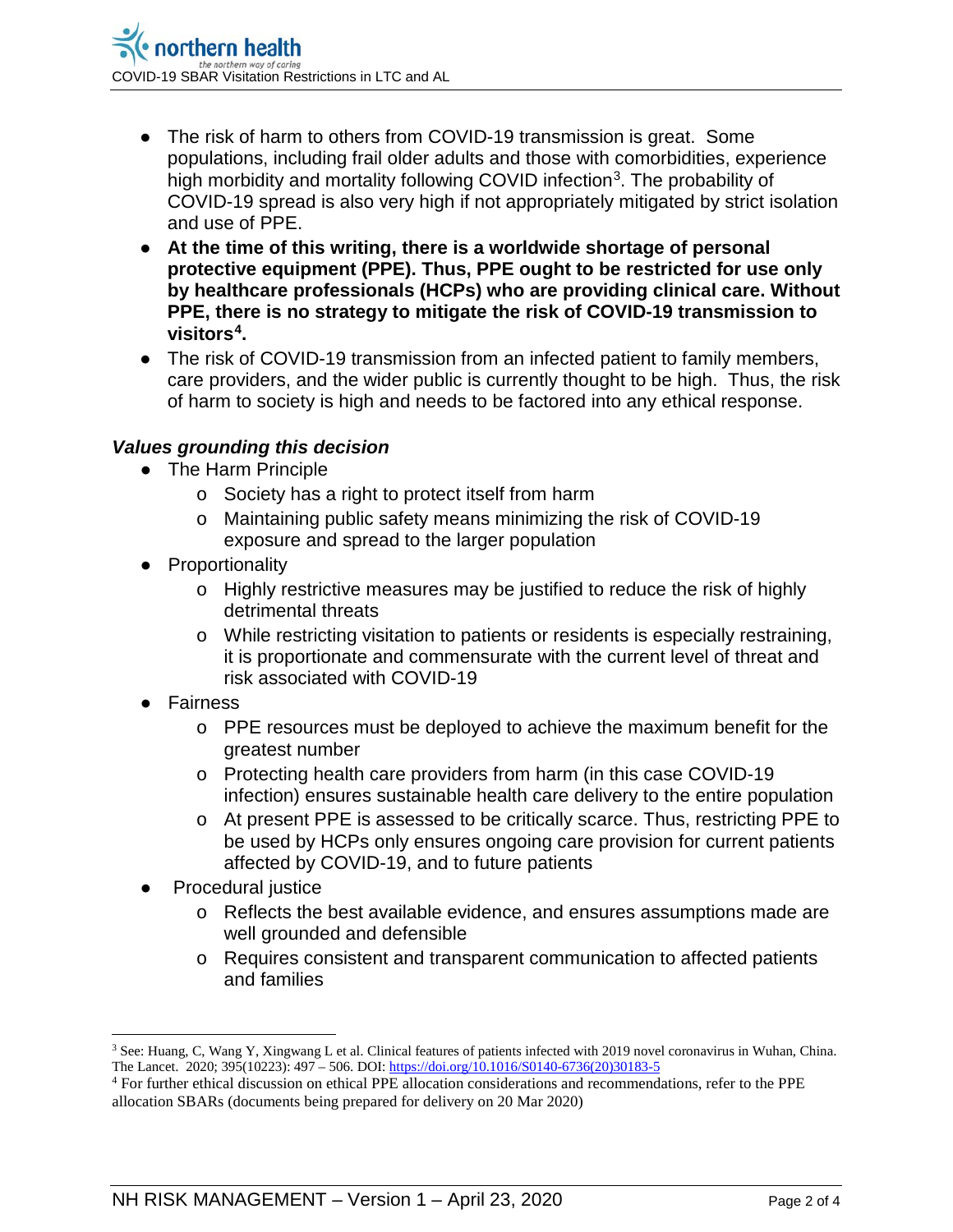- The risk of harm to others from COVID-19 transmission is great. Some populations, including frail older adults and those with comorbidities, experience high morbidity and mortality following COVID infection<sup>3</sup>. The probability of COVID-19 spread is also very high if not appropriately mitigated by strict isolation and use of PPE.
- **At the time of this writing, there is a worldwide shortage of personal protective equipment (PPE). Thus, PPE ought to be restricted for use only by healthcare professionals (HCPs) who are providing clinical care. Without PPE, there is no strategy to mitigate the risk of COVID-19 transmission to visitors[4](#page-1-1).**
- The risk of COVID-19 transmission from an infected patient to family members, care providers, and the wider public is currently thought to be high. Thus, the risk of harm to society is high and needs to be factored into any ethical response.

#### *Values grounding this decision*

- The Harm Principle
	- o Society has a right to protect itself from harm
	- o Maintaining public safety means minimizing the risk of COVID-19 exposure and spread to the larger population
- Proportionality
	- o Highly restrictive measures may be justified to reduce the risk of highly detrimental threats
	- o While restricting visitation to patients or residents is especially restraining, it is proportionate and commensurate with the current level of threat and risk associated with COVID-19
- **Fairness** 
	- o PPE resources must be deployed to achieve the maximum benefit for the greatest number
	- o Protecting health care providers from harm (in this case COVID-19 infection) ensures sustainable health care delivery to the entire population
	- o At present PPE is assessed to be critically scarce. Thus, restricting PPE to be used by HCPs only ensures ongoing care provision for current patients affected by COVID-19, and to future patients
- Procedural justice
	- o Reflects the best available evidence, and ensures assumptions made are well grounded and defensible
	- o Requires consistent and transparent communication to affected patients and families

<span id="page-1-0"></span> $\overline{a}$ <sup>3</sup> See: Huang, C, Wang Y, Xingwang L et al. Clinical features of patients infected with 2019 novel coronavirus in Wuhan, China. The Lancet. 2020; 395(10223): 497 – 506. DOI[: https://doi.org/10.1016/S0140-6736\(20\)30183-5](https://doi.org/10.1016/S0140-6736(20)30183-5)

<span id="page-1-1"></span><sup>4</sup> For further ethical discussion on ethical PPE allocation considerations and recommendations, refer to the PPE allocation SBARs (documents being prepared for delivery on 20 Mar 2020)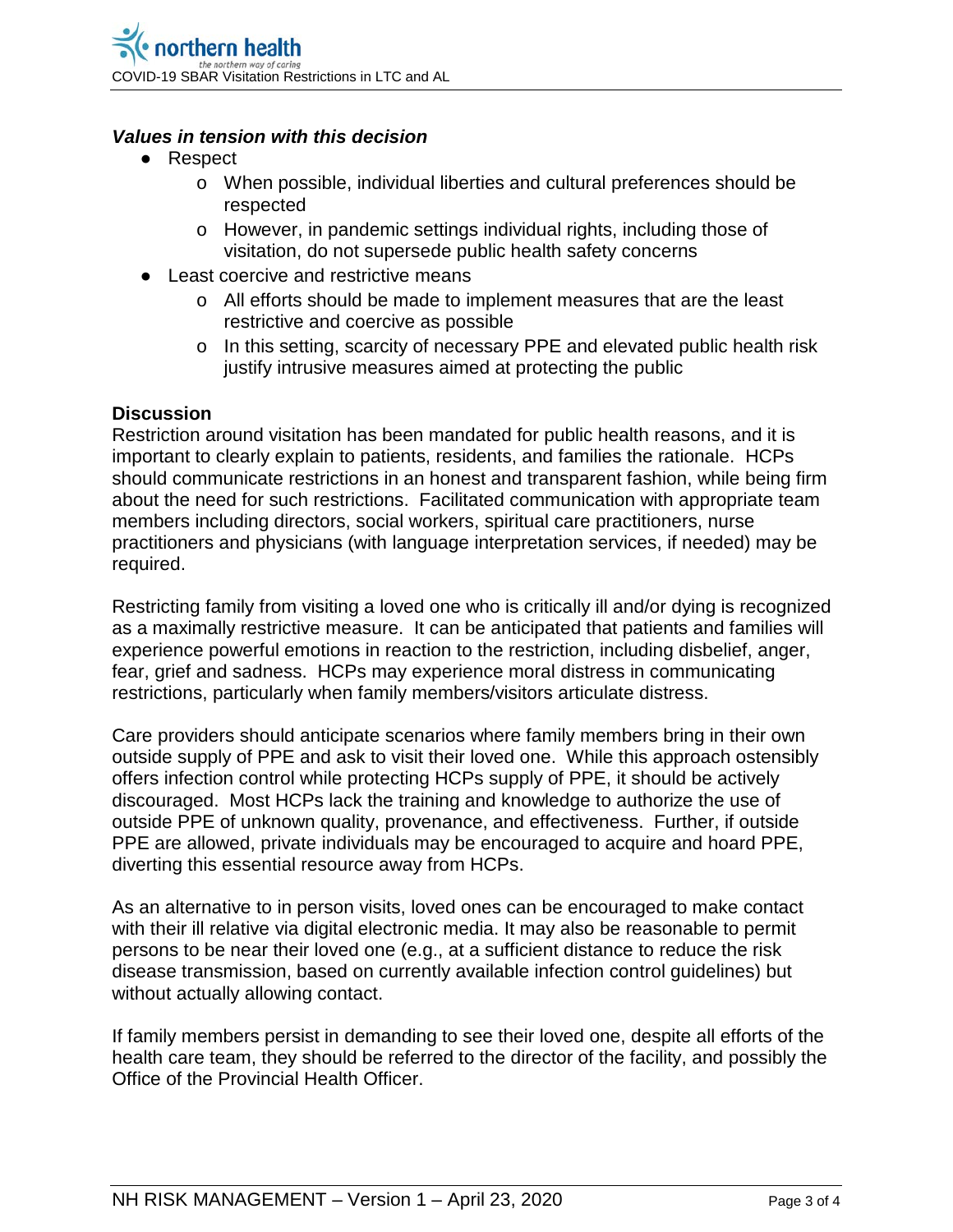#### *Values in tension with this decision*

- Respect
	- o When possible, individual liberties and cultural preferences should be respected
	- o However, in pandemic settings individual rights, including those of visitation, do not supersede public health safety concerns
- Least coercive and restrictive means
	- o All efforts should be made to implement measures that are the least restrictive and coercive as possible
	- o In this setting, scarcity of necessary PPE and elevated public health risk justify intrusive measures aimed at protecting the public

#### **Discussion**

Restriction around visitation has been mandated for public health reasons, and it is important to clearly explain to patients, residents, and families the rationale. HCPs should communicate restrictions in an honest and transparent fashion, while being firm about the need for such restrictions. Facilitated communication with appropriate team members including directors, social workers, spiritual care practitioners, nurse practitioners and physicians (with language interpretation services, if needed) may be required.

Restricting family from visiting a loved one who is critically ill and/or dying is recognized as a maximally restrictive measure. It can be anticipated that patients and families will experience powerful emotions in reaction to the restriction, including disbelief, anger, fear, grief and sadness. HCPs may experience moral distress in communicating restrictions, particularly when family members/visitors articulate distress.

Care providers should anticipate scenarios where family members bring in their own outside supply of PPE and ask to visit their loved one. While this approach ostensibly offers infection control while protecting HCPs supply of PPE, it should be actively discouraged. Most HCPs lack the training and knowledge to authorize the use of outside PPE of unknown quality, provenance, and effectiveness. Further, if outside PPE are allowed, private individuals may be encouraged to acquire and hoard PPE, diverting this essential resource away from HCPs.

As an alternative to in person visits, loved ones can be encouraged to make contact with their ill relative via digital electronic media. It may also be reasonable to permit persons to be near their loved one (e.g., at a sufficient distance to reduce the risk disease transmission, based on currently available infection control guidelines) but without actually allowing contact.

If family members persist in demanding to see their loved one, despite all efforts of the health care team, they should be referred to the director of the facility, and possibly the Office of the Provincial Health Officer.